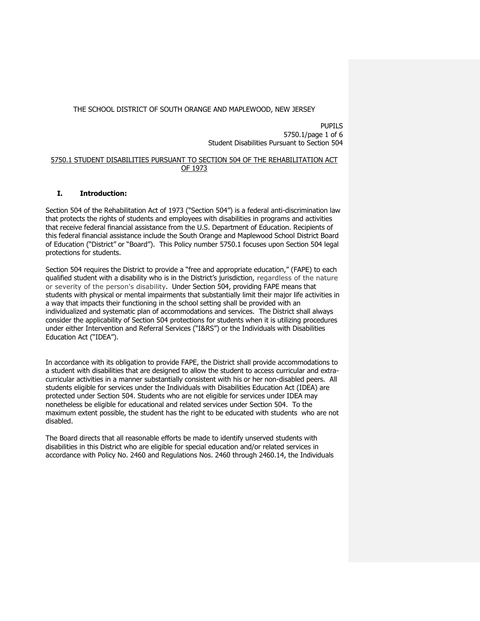PUPILS 5750.1/page 1 of 6 Student Disabilities Pursuant to Section 504

# 5750.1 STUDENT DISABILITIES PURSUANT TO SECTION 504 OF THE REHABILITATION ACT OF 1973

# **I. Introduction:**

Section 504 of the Rehabilitation Act of 1973 ("Section 504") is a federal anti-discrimination law that protects the rights of students and employees with disabilities in programs and activities that receive federal financial assistance from the U.S. Department of Education. Recipients of this federal financial assistance include the South Orange and Maplewood School District Board of Education ("District" or "Board"). This Policy number 5750.1 focuses upon Section 504 legal protections for students.

Section 504 requires the District to provide a "free and appropriate education," (FAPE) to each qualified student with a disability who is in the District's jurisdiction, regardless of the nature or severity of the person's disability. Under Section 504, providing FAPE means that students with physical or mental impairments that substantially limit their major life activities in a way that impacts their functioning in the school setting shall be provided with an individualized and systematic plan of accommodations and services. The District shall always consider the applicability of Section 504 protections for students when it is utilizing procedures under either Intervention and Referral Services ("I&RS") or the Individuals with Disabilities Education Act ("IDEA").

In accordance with its obligation to provide FAPE, the District shall provide accommodations to a student with disabilities that are designed to allow the student to access curricular and extracurricular activities in a manner substantially consistent with his or her non-disabled peers. All students eligible for services under the Individuals with Disabilities Education Act (IDEA) are protected under Section 504. Students who are not eligible for services under IDEA may nonetheless be eligible for educational and related services under Section 504. To the maximum extent possible, the student has the right to be educated with students who are not disabled.

The Board directs that all reasonable efforts be made to identify unserved students with disabilities in this District who are eligible for special education and/or related services in accordance with Policy No. 2460 and Regulations Nos. 2460 through 2460.14, the Individuals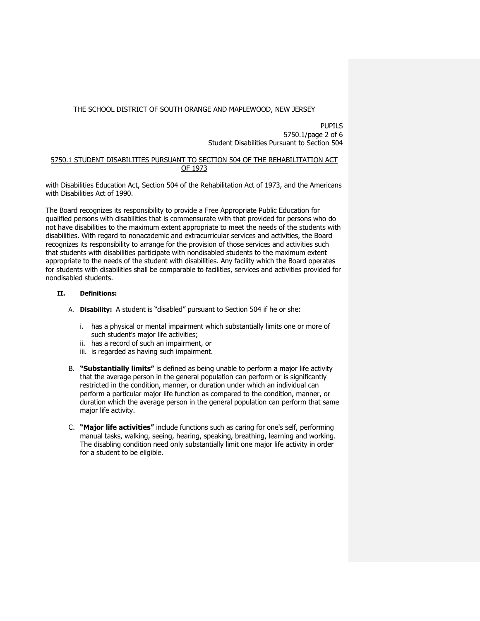PUPILS 5750.1/page 2 of 6 Student Disabilities Pursuant to Section 504

# 5750.1 STUDENT DISABILITIES PURSUANT TO SECTION 504 OF THE REHABILITATION ACT OF 1973

with Disabilities Education Act, Section 504 of the Rehabilitation Act of 1973, and the Americans with Disabilities Act of 1990.

The Board recognizes its responsibility to provide a Free Appropriate Public Education for qualified persons with disabilities that is commensurate with that provided for persons who do not have disabilities to the maximum extent appropriate to meet the needs of the students with disabilities. With regard to nonacademic and extracurricular services and activities, the Board recognizes its responsibility to arrange for the provision of those services and activities such that students with disabilities participate with nondisabled students to the maximum extent appropriate to the needs of the student with disabilities. Any facility which the Board operates for students with disabilities shall be comparable to facilities, services and activities provided for nondisabled students.

# **II. Definitions:**

- A. **Disability:** A student is "disabled" pursuant to Section 504 if he or she:
	- i. has a physical or mental impairment which substantially limits one or more of such student's major life activities;
	- ii. has a record of such an impairment, or
	- iii. is regarded as having such impairment.
- B. **"Substantially limits"** is defined as being unable to perform a major life activity that the average person in the general population can perform or is significantly restricted in the condition, manner, or duration under which an individual can perform a particular major life function as compared to the condition, manner, or duration which the average person in the general population can perform that same major life activity.
- C. **"Major life activities"** include functions such as caring for one's self, performing manual tasks, walking, seeing, hearing, speaking, breathing, learning and working. The disabling condition need only substantially limit one major life activity in order for a student to be eligible.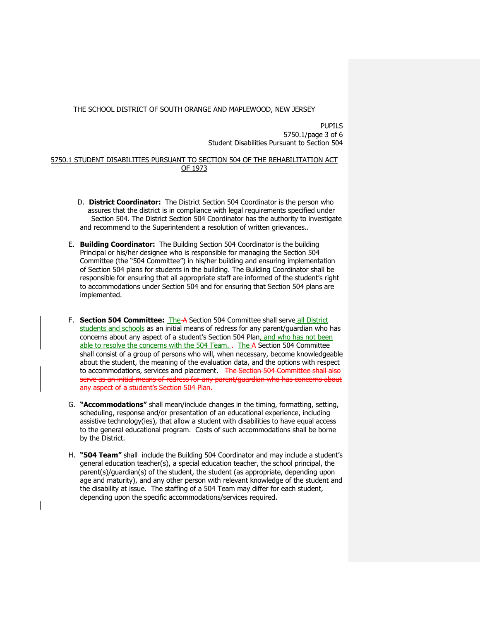PUPILS 5750.1/page 3 of 6 Student Disabilities Pursuant to Section 504

# 5750.1 STUDENT DISABILITIES PURSUANT TO SECTION 504 OF THE REHABILITATION ACT OF 1973

- D. **District Coordinator:** The District Section 504 Coordinator is the person who assures that the district is in compliance with legal requirements specified under Section 504. The District Section 504 Coordinator has the authority to investigate and recommend to the Superintendent a resolution of written grievances..
- E. **Building Coordinator:** The Building Section 504 Coordinator is the building Principal or his/her designee who is responsible for managing the Section 504 Committee (the "504 Committee") in his/her building and ensuring implementation of Section 504 plans for students in the building. The Building Coordinator shall be responsible for ensuring that all appropriate staff are informed of the student's right to accommodations under Section 504 and for ensuring that Section 504 plans are implemented.
- F. **Section 504 Committee:** The A Section 504 Committee shall serve all District students and schools as an initial means of redress for any parent/quardian who has concerns about any aspect of a student's Section 504 Plan, and who has not been able to resolve the concerns with the 504 Team. . The A Section 504 Committee shall consist of a group of persons who will, when necessary, become knowledgeable about the student, the meaning of the evaluation data, and the options with respect to accommodations, services and placement. The Section 504 Committee shall also serve as an initial means of redress for any parent/guardian who has concerns about any aspect of a student's Section 504 Plan.
- G. **"Accommodations"** shall mean/include changes in the timing, formatting, setting, scheduling, response and/or presentation of an educational experience, including assistive technology(ies), that allow a student with disabilities to have equal access to the general educational program. Costs of such accommodations shall be borne by the District.
- H. **"504 Team"** shall include the Building 504 Coordinator and may include a student's general education teacher(s), a special education teacher, the school principal, the parent(s)/guardian(s) of the student, the student (as appropriate, depending upon age and maturity), and any other person with relevant knowledge of the student and the disability at issue. The staffing of a 504 Team may differ for each student, depending upon the specific accommodations/services required.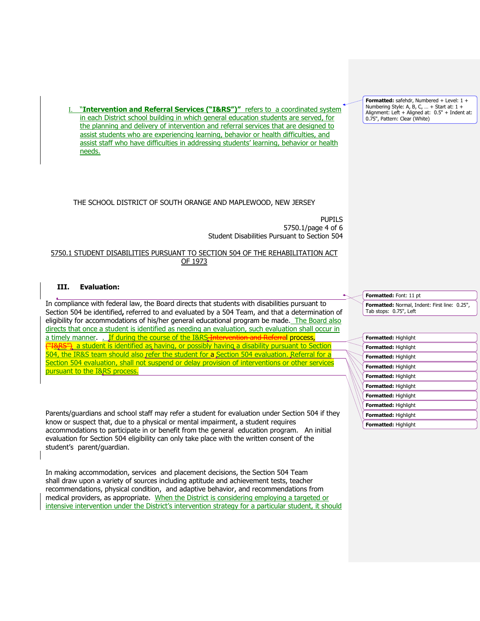**"Intervention and Referral Services ("I&RS")"** refers to a coordinated system in each District school building in which general education students are served, for the planning and delivery of intervention and referral services that are designed to assist students who are experiencing learning, behavior or health difficulties, and assist staff who have difficulties in addressing students' learning, behavior or health needs.

# THE SCHOOL DISTRICT OF SOUTH ORANGE AND MAPLEWOOD, NEW JERSEY

PUPILS 5750.1/page 4 of 6 Student Disabilities Pursuant to Section 504

## 5750.1 STUDENT DISABILITIES PURSUANT TO SECTION 504 OF THE REHABILITATION ACT OF 1973

# **III. Evaluation:**

In compliance with federal law, the Board directs that students with disabilities pursuant to Section 504 be identified**,** referred to and evaluated by a 504 Team, and that a determination of eligibility for accommodations of his/her general educational program be made. The Board also directs that once a student is identified as needing an evaluation, such evaluation shall occur in a timely manner. . If during the course of the I&RS. Intervention and Referral process, (RS"), a student is identified as having, or possibly having a disability pursuant to Section 504, the IR&S team should also refer the student for a Section 504 evaluation. Referral for a Section 504 evaluation, shall not suspend or delay provision of interventions or other services pursuant to the I&RS process.

Parents/guardians and school staff may refer a student for evaluation under Section 504 if they know or suspect that, due to a physical or mental impairment, a student requires accommodations to participate in or benefit from the general education program. An initial evaluation for Section 504 eligibility can only take place with the written consent of the student's parent/guardian.

In making accommodation, services and placement decisions, the Section 504 Team shall draw upon a variety of sources including aptitude and achievement tests, teacher recommendations, physical condition, and adaptive behavior, and recommendations from medical providers, as appropriate. When the District is considering employing a targeted or intensive intervention under the District's intervention strategy for a particular student, it should **Formatted:** Font: 11 pt **Formatted:** Normal, Indent: First line: 0.25", Tab stops: 0.75", Left

| <b>Formatted: Highlight</b> |
|-----------------------------|
| <b>Formatted: Highlight</b> |
| <b>Formatted: Highlight</b> |
| <b>Formatted: Highlight</b> |
| <b>Formatted: Highlight</b> |
| <b>Formatted: Highlight</b> |
| <b>Formatted: Highlight</b> |
| Formatted: Highlight        |
| <b>Formatted: Highlight</b> |
| <b>Formatted: Highlight</b> |

**Formatted:** safehdr, Numbered + Level: 1 + Numbering Style: A, B, C, … + Start at: 1 + Alignment: Left + Aligned at: 0.5" + Indent at: 0.75", Pattern: Clear (White)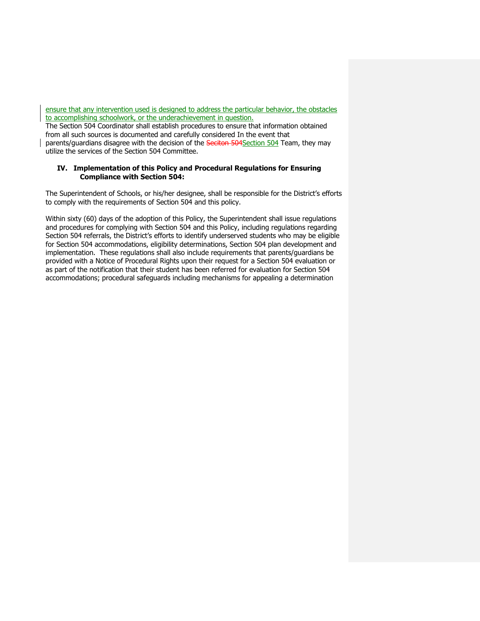ensure that any intervention used is designed to address the particular behavior, the obstacles to accomplishing schoolwork, or the underachievement in question.

The Section 504 Coordinator shall establish procedures to ensure that information obtained from all such sources is documented and carefully considered In the event that parents/guardians disagree with the decision of the Seciton 504 Section 504 Team, they may utilize the services of the Section 504 Committee.

#### **IV. Implementation of this Policy and Procedural Regulations for Ensuring Compliance with Section 504:**

The Superintendent of Schools, or his/her designee, shall be responsible for the District's efforts to comply with the requirements of Section 504 and this policy.

Within sixty (60) days of the adoption of this Policy, the Superintendent shall issue regulations and procedures for complying with Section 504 and this Policy, including regulations regarding Section 504 referrals, the District's efforts to identify underserved students who may be eligible for Section 504 accommodations, eligibility determinations, Section 504 plan development and implementation. These regulations shall also include requirements that parents/guardians be provided with a Notice of Procedural Rights upon their request for a Section 504 evaluation or as part of the notification that their student has been referred for evaluation for Section 504 accommodations; procedural safeguards including mechanisms for appealing a determination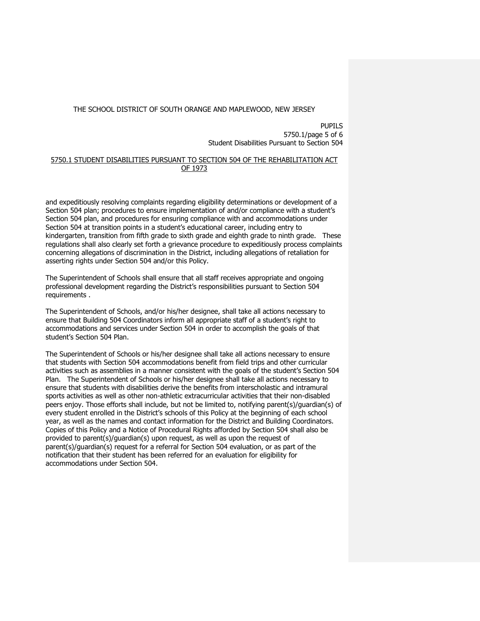PUPILS 5750.1/page 5 of 6 Student Disabilities Pursuant to Section 504

# 5750.1 STUDENT DISABILITIES PURSUANT TO SECTION 504 OF THE REHABILITATION ACT OF 1973

and expeditiously resolving complaints regarding eligibility determinations or development of a Section 504 plan; procedures to ensure implementation of and/or compliance with a student's Section 504 plan, and procedures for ensuring compliance with and accommodations under Section 504 at transition points in a student's educational career, including entry to kindergarten, transition from fifth grade to sixth grade and eighth grade to ninth grade. These regulations shall also clearly set forth a grievance procedure to expeditiously process complaints concerning allegations of discrimination in the District, including allegations of retaliation for asserting rights under Section 504 and/or this Policy.

The Superintendent of Schools shall ensure that all staff receives appropriate and ongoing professional development regarding the District's responsibilities pursuant to Section 504 requirements .

The Superintendent of Schools, and/or his/her designee, shall take all actions necessary to ensure that Building 504 Coordinators inform all appropriate staff of a student's right to accommodations and services under Section 504 in order to accomplish the goals of that student's Section 504 Plan.

The Superintendent of Schools or his/her designee shall take all actions necessary to ensure that students with Section 504 accommodations benefit from field trips and other curricular activities such as assemblies in a manner consistent with the goals of the student's Section 504 Plan. The Superintendent of Schools or his/her designee shall take all actions necessary to ensure that students with disabilities derive the benefits from interscholastic and intramural sports activities as well as other non-athletic extracurricular activities that their non-disabled peers enjoy. Those efforts shall include, but not be limited to, notifying parent(s)/guardian(s) of every student enrolled in the District's schools of this Policy at the beginning of each school year, as well as the names and contact information for the District and Building Coordinators. Copies of this Policy and a Notice of Procedural Rights afforded by Section 504 shall also be provided to parent(s)/guardian(s) upon request, as well as upon the request of parent(s)/guardian(s) request for a referral for Section 504 evaluation, or as part of the notification that their student has been referred for an evaluation for eligibility for accommodations under Section 504.